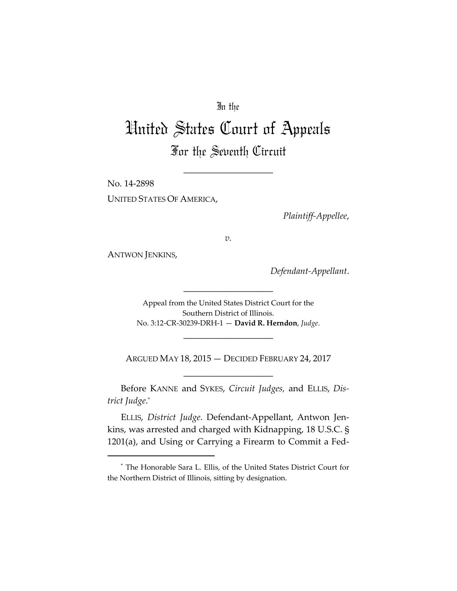# In the

# United States Court of Appeals For the Seventh Circuit

\_\_\_\_\_\_\_\_\_\_\_\_\_\_\_\_\_\_\_\_

No. 14‐2898 UNITED STATES OF AMERICA,

*Plaintiff‐Appellee*,

*v.*

ANTWON JENKINS,

*Defendant‐Appellant*.

Appeal from the United States District Court for the Southern District of Illinois. No. 3:12‐CR‐30239‐DRH‐1 — **David R. Herndon**, *Judge*.

\_\_\_\_\_\_\_\_\_\_\_\_\_\_\_\_\_\_\_\_

ARGUED MAY 18, 2015 — DECIDED FEBRUARY 24, 2017 \_\_\_\_\_\_\_\_\_\_\_\_\_\_\_\_\_\_\_\_

\_\_\_\_\_\_\_\_\_\_\_\_\_\_\_\_\_\_\_\_

Before KANNE and SYKES, *Circuit Judges,* and ELLIS, *Dis‐ trict Judge*. \*

ELLIS, *District Judge*. Defendant‐Appellant, Antwon Jen‐ kins, was arrested and charged with Kidnapping, 18 U.S.C. § 1201(a), and Using or Carrying a Firearm to Commit a Fed‐

<sup>\*</sup> The Honorable Sara L. Ellis, of the United States District Court for the Northern District of Illinois, sitting by designation.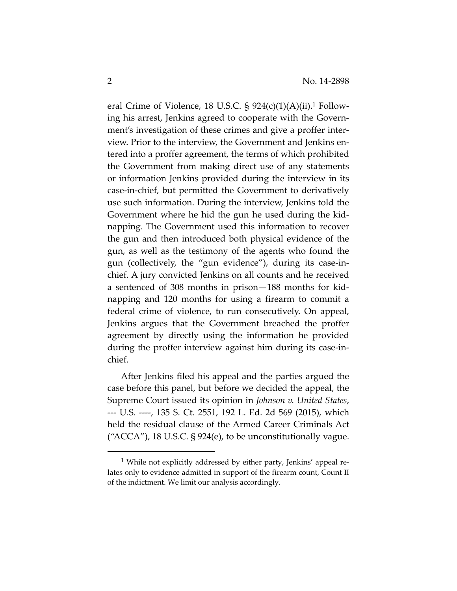eral Crime of Violence, 18 U.S.C. §  $924(c)(1)(A)(ii)$ .<sup>1</sup> Following his arrest, Jenkins agreed to cooperate with the Govern‐ ment's investigation of these crimes and give a proffer interview. Prior to the interview, the Government and Jenkins en‐ tered into a proffer agreement, the terms of which prohibited the Government from making direct use of any statements or information Jenkins provided during the interview in its case‐in‐chief, but permitted the Government to derivatively use such information. During the interview, Jenkins told the Government where he hid the gun he used during the kid‐ napping. The Government used this information to recover the gun and then introduced both physical evidence of the gun, as well as the testimony of the agents who found the gun (collectively, the "gun evidence"), during its case‐in‐ chief. A jury convicted Jenkins on all counts and he received a sentenced of 308 months in prison—188 months for kid‐ napping and 120 months for using a firearm to commit a federal crime of violence, to run consecutively. On appeal, Jenkins argues that the Government breached the proffer agreement by directly using the information he provided during the proffer interview against him during its case‐in‐ chief.

After Jenkins filed his appeal and the parties argued the case before this panel, but before we decided the appeal, the Supreme Court issued its opinion in *Johnson v. United States*, ‐‐‐ U.S. ‐‐‐‐, 135 S. Ct. 2551, 192 L. Ed. 2d 569 (2015), which held the residual clause of the Armed Career Criminals Act ("ACCA"), 18 U.S.C.  $\S$  924(e), to be unconstitutionally vague.

<sup>&</sup>lt;sup>1</sup> While not explicitly addressed by either party, Jenkins' appeal relates only to evidence admitted in support of the firearm count, Count II of the indictment. We limit our analysis accordingly.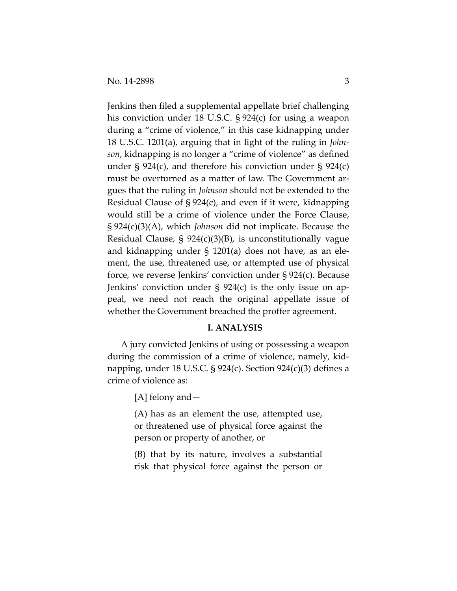Jenkins then filed a supplemental appellate brief challenging his conviction under 18 U.S.C. § 924(c) for using a weapon during a "crime of violence," in this case kidnapping under 18 U.S.C. 1201(a), arguing that in light of the ruling in *John‐ son*, kidnapping is no longer a "crime of violence" as defined under § 924(c), and therefore his conviction under § 924(c) must be overturned as a matter of law. The Government argues that the ruling in *Johnson* should not be extended to the Residual Clause of § 924(c), and even if it were, kidnapping would still be a crime of violence under the Force Clause, § 924(c)(3)(A), which *Johnson* did not implicate. Because the Residual Clause, § 924(c)(3)(B), is unconstitutionally vague and kidnapping under § 1201(a) does not have, as an ele‐ ment, the use, threatened use, or attempted use of physical force, we reverse Jenkins' conviction under § 924(c). Because Jenkins' conviction under  $\S$  924(c) is the only issue on appeal, we need not reach the original appellate issue of whether the Government breached the proffer agreement.

## **I. ANALYSIS**

A jury convicted Jenkins of using or possessing a weapon during the commission of a crime of violence, namely, kid‐ napping, under 18 U.S.C. § 924(c). Section 924(c)(3) defines a crime of violence as:

[A] felony and—

(A) has as an element the use, attempted use, or threatened use of physical force against the person or property of another, or

(B) that by its nature, involves a substantial risk that physical force against the person or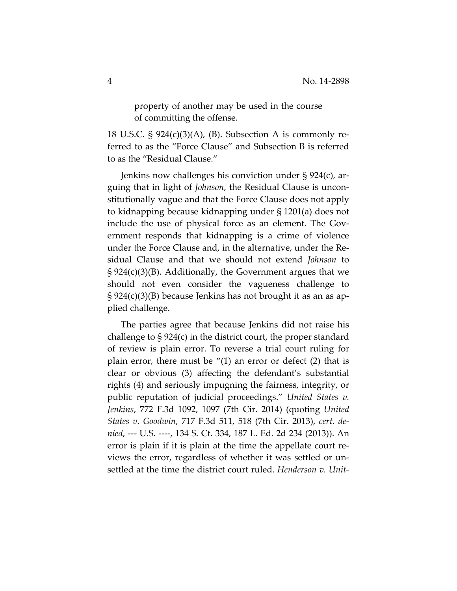property of another may be used in the course of committing the offense.

18 U.S.C.  $\S$  924(c)(3)(A), (B). Subsection A is commonly referred to as the "Force Clause" and Subsection B is referred to as the "Residual Clause."

Jenkins now challenges his conviction under § 924(c), ar‐ guing that in light of *Johnson*, the Residual Clause is uncon‐ stitutionally vague and that the Force Clause does not apply to kidnapping because kidnapping under § 1201(a) does not include the use of physical force as an element. The Government responds that kidnapping is a crime of violence under the Force Clause and, in the alternative, under the Re‐ sidual Clause and that we should not extend *Johnson* to § 924(c)(3)(B). Additionally, the Government argues that we should not even consider the vagueness challenge to  $\S 924(c)(3)(B)$  because Jenkins has not brought it as an as applied challenge.

The parties agree that because Jenkins did not raise his challenge to § 924(c) in the district court, the proper standard of review is plain error. To reverse a trial court ruling for plain error, there must be "(1) an error or defect (2) that is clear or obvious (3) affecting the defendant's substantial rights (4) and seriously impugning the fairness, integrity, or public reputation of judicial proceedings." *United States v. Jenkins*, 772 F.3d 1092, 1097 (7th Cir. 2014) (quoting *United States v. Goodwin*, 717 F.3d 511, 518 (7th Cir. 2013), *cert. de‐ nied*, ‐‐‐ U.S. ‐‐‐‐, 134 S. Ct. 334, 187 L. Ed. 2d 234 (2013)). An error is plain if it is plain at the time the appellate court reviews the error, regardless of whether it was settled or un‐ settled at the time the district court ruled. *Henderson v. Unit‐*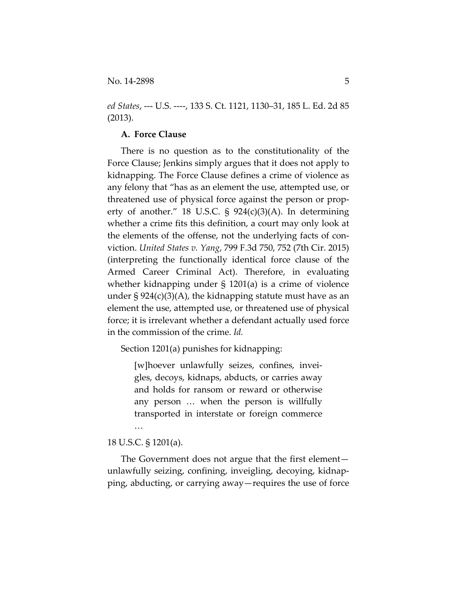*ed States*, ‐‐‐ U.S. ‐‐‐‐, 133 S. Ct. 1121, 1130–31, 185 L. Ed. 2d 85 (2013).

#### **A. Force Clause**

There is no question as to the constitutionality of the Force Clause; Jenkins simply argues that it does not apply to kidnapping. The Force Clause defines a crime of violence as any felony that "has as an element the use, attempted use, or threatened use of physical force against the person or prop‐ erty of another." 18 U.S.C.  $\frac{1}{5}$  924(c)(3)(A). In determining whether a crime fits this definition, a court may only look at the elements of the offense, not the underlying facts of con‐ viction. *United States v. Yang*, 799 F.3d 750, 752 (7th Cir. 2015) (interpreting the functionally identical force clause of the Armed Career Criminal Act). Therefore, in evaluating whether kidnapping under § 1201(a) is a crime of violence under  $\S 924(c)(3)(A)$ , the kidnapping statute must have as an element the use, attempted use, or threatened use of physical force; it is irrelevant whether a defendant actually used force in the commission of the crime. *Id.* 

Section 1201(a) punishes for kidnapping:

[w]hoever unlawfully seizes, confines, invei‐ gles, decoys, kidnaps, abducts, or carries away and holds for ransom or reward or otherwise any person … when the person is willfully transported in interstate or foreign commerce …

## 18 U.S.C. § 1201(a).

The Government does not argue that the first element unlawfully seizing, confining, inveigling, decoying, kidnap‐ ping, abducting, or carrying away—requires the use of force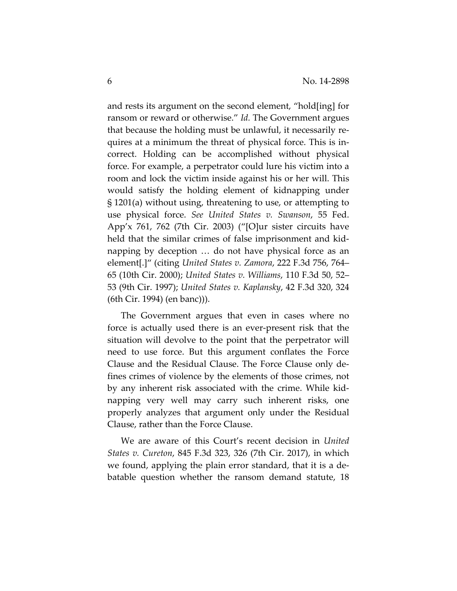and rests its argument on the second element, "hold[ing] for ransom or reward or otherwise." *Id.* The Government argues that because the holding must be unlawful, it necessarily re‐ quires at a minimum the threat of physical force. This is in‐ correct. Holding can be accomplished without physical force. For example, a perpetrator could lure his victim into a room and lock the victim inside against his or her will. This would satisfy the holding element of kidnapping under § 1201(a) without using, threatening to use, or attempting to use physical force. *See United States v. Swanson*, 55 Fed. App'x 761, 762 (7th Cir. 2003) ("[O]ur sister circuits have held that the similar crimes of false imprisonment and kidnapping by deception … do not have physical force as an element[.]" (citing *United States v. Zamora*, 222 F.3d 756, 764– 65 (10th Cir. 2000); *United States v. Williams*, 110 F.3d 50, 52– 53 (9th Cir. 1997); *United States v. Kaplansky*, 42 F.3d 320, 324 (6th Cir. 1994) (en banc))).

The Government argues that even in cases where no force is actually used there is an ever‐present risk that the situation will devolve to the point that the perpetrator will need to use force. But this argument conflates the Force Clause and the Residual Clause. The Force Clause only de‐ fines crimes of violence by the elements of those crimes, not by any inherent risk associated with the crime. While kid‐ napping very well may carry such inherent risks, one properly analyzes that argument only under the Residual Clause, rather than the Force Clause.

We are aware of this Court's recent decision in *United States v. Cureton*, 845 F.3d 323, 326 (7th Cir. 2017), in which we found, applying the plain error standard, that it is a de‐ batable question whether the ransom demand statute, 18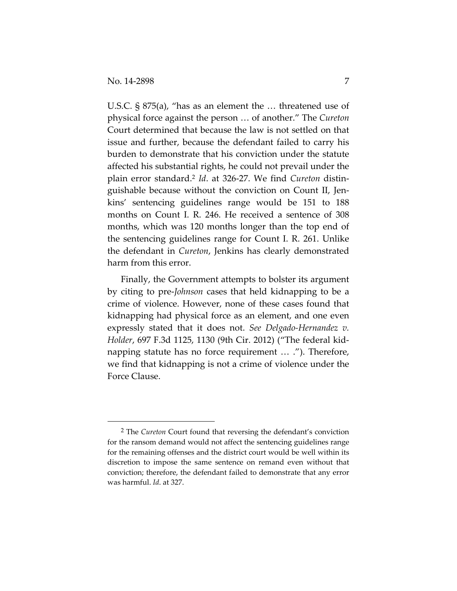U.S.C. § 875(a), "has as an element the … threatened use of physical force against the person … of another." The *Cureton* Court determined that because the law is not settled on that issue and further, because the defendant failed to carry his burden to demonstrate that his conviction under the statute affected his substantial rights, he could not prevail under the plain error standard.2 *Id*. at 326‐27. We find *Cureton* distin‐ guishable because without the conviction on Count II, Jen‐ kins' sentencing guidelines range would be 151 to 188 months on Count I. R. 246. He received a sentence of 308 months, which was 120 months longer than the top end of the sentencing guidelines range for Count I. R. 261. Unlike the defendant in *Cureton*, Jenkins has clearly demonstrated harm from this error.

Finally, the Government attempts to bolster its argument by citing to pre‐*Johnson* cases that held kidnapping to be a crime of violence. However, none of these cases found that kidnapping had physical force as an element, and one even expressly stated that it does not. *See Delgado‐Hernandez v. Holder*, 697 F.3d 1125, 1130 (9th Cir. 2012) ("The federal kid‐ napping statute has no force requirement … ."). Therefore, we find that kidnapping is not a crime of violence under the Force Clause.

<sup>2</sup> The *Cureton* Court found that reversing the defendant's conviction for the ransom demand would not affect the sentencing guidelines range for the remaining offenses and the district court would be well within its discretion to impose the same sentence on remand even without that conviction; therefore, the defendant failed to demonstrate that any error was harmful. *Id*. at 327.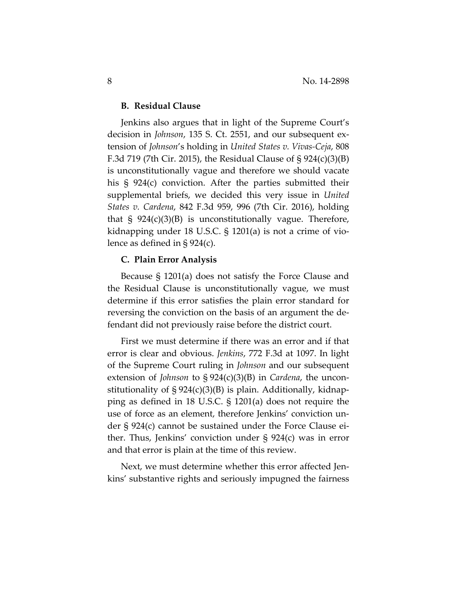#### **B. Residual Clause**

Jenkins also argues that in light of the Supreme Court's decision in *Johnson*, 135 S. Ct. 2551, and our subsequent ex‐ tension of *Johnson*'s holding in *United States v. Vivas‐Ceja*, 808 F.3d 719 (7th Cir. 2015), the Residual Clause of § 924(c)(3)(B) is unconstitutionally vague and therefore we should vacate his § 924(c) conviction. After the parties submitted their supplemental briefs, we decided this very issue in *United States v. Cardena*, 842 F.3d 959, 996 (7th Cir. 2016), holding that  $\S$  924(c)(3)(B) is unconstitutionally vague. Therefore, kidnapping under 18 U.S.C. § 1201(a) is not a crime of vio‐ lence as defined in § 924(c).

#### **C. Plain Error Analysis**

Because § 1201(a) does not satisfy the Force Clause and the Residual Clause is unconstitutionally vague, we must determine if this error satisfies the plain error standard for reversing the conviction on the basis of an argument the de‐ fendant did not previously raise before the district court.

First we must determine if there was an error and if that error is clear and obvious. *Jenkins*, 772 F.3d at 1097. In light of the Supreme Court ruling in *Johnson* and our subsequent extension of *Johnson* to § 924(c)(3)(B) in *Cardena*, the uncon‐ stitutionality of  $\S 924(c)(3)(B)$  is plain. Additionally, kidnapping as defined in 18 U.S.C. § 1201(a) does not require the use of force as an element, therefore Jenkins' conviction under § 924(c) cannot be sustained under the Force Clause ei‐ ther. Thus, Jenkins' conviction under § 924(c) was in error and that error is plain at the time of this review.

Next, we must determine whether this error affected Jen‐ kins' substantive rights and seriously impugned the fairness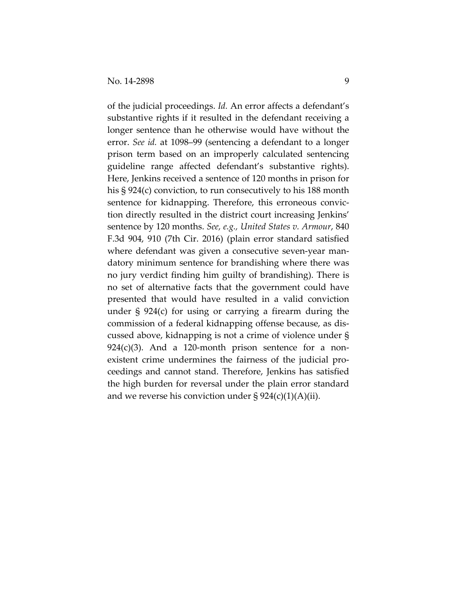of the judicial proceedings. *Id.* An error affects a defendant's substantive rights if it resulted in the defendant receiving a longer sentence than he otherwise would have without the error. *See id.* at 1098–99 (sentencing a defendant to a longer prison term based on an improperly calculated sentencing guideline range affected defendant's substantive rights). Here, Jenkins received a sentence of 120 months in prison for his § 924(c) conviction, to run consecutively to his 188 month sentence for kidnapping. Therefore, this erroneous conviction directly resulted in the district court increasing Jenkins' sentence by 120 months. *See, e.g., United States v. Armour*, 840 F.3d 904, 910 (7th Cir. 2016) (plain error standard satisfied where defendant was given a consecutive seven‐year man‐ datory minimum sentence for brandishing where there was no jury verdict finding him guilty of brandishing). There is no set of alternative facts that the government could have presented that would have resulted in a valid conviction under § 924(c) for using or carrying a firearm during the commission of a federal kidnapping offense because, as dis‐ cussed above, kidnapping is not a crime of violence under §  $924(c)(3)$ . And a 120-month prison sentence for a nonexistent crime undermines the fairness of the judicial pro‐ ceedings and cannot stand. Therefore, Jenkins has satisfied the high burden for reversal under the plain error standard and we reverse his conviction under  $\S 924(c)(1)(A)(ii)$ .